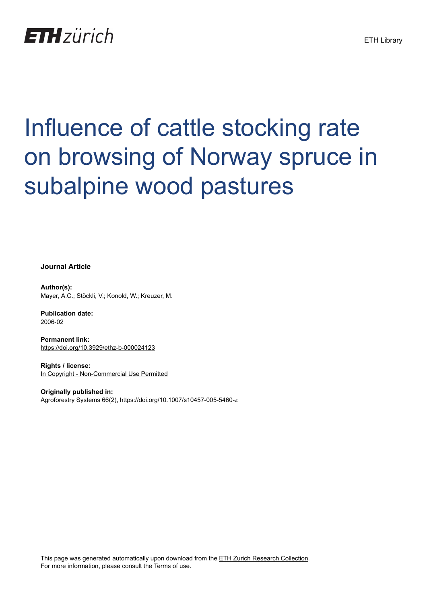

# Influence of cattle stocking rate on browsing of Norway spruce in subalpine wood pastures

**Journal Article**

**Author(s):** Mayer, A.C.; Stöckli, V.; Konold, W.; Kreuzer, M.

**Publication date:** 2006-02

**Permanent link:** <https://doi.org/10.3929/ethz-b-000024123>

**Rights / license:** [In Copyright - Non-Commercial Use Permitted](http://rightsstatements.org/page/InC-NC/1.0/)

**Originally published in:** Agroforestry Systems 66(2),<https://doi.org/10.1007/s10457-005-5460-z>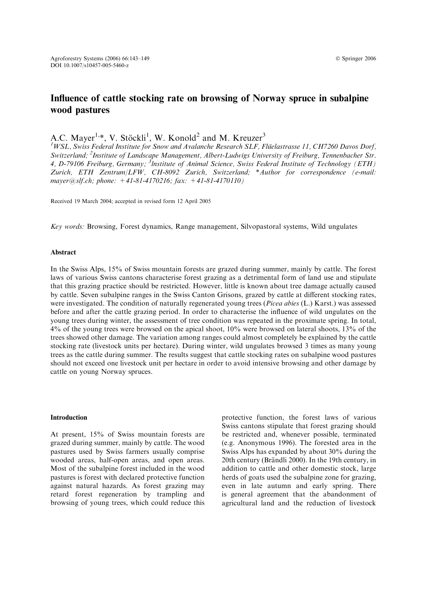# Influence of cattle stocking rate on browsing of Norway spruce in subalpine wood pastures

A.C. Mayer<sup>1,\*</sup>, V. Stöckli<sup>1</sup>, W. Konold<sup>2</sup> and M. Kreuzer<sup>3</sup>

 $1<sup>I</sup>WSL$ , Swiss Federal Institute for Snow and Avalanche Research SLF, Flüelastrasse 11, CH7260 Davos Dorf, Switzerland; <sup>2</sup>Institute of Landscape Management, Albert-Ludwigs University of Freiburg, Tennenbacher Str. 4, D-79106 Freiburg, Germany; <sup>3</sup>Institute of Animal Science, Swiss Federal Institute of Technology (ETH) Zurich, ETH Zentrum/LFW, CH-8092 Zurich, Switzerland; \*Author for correspondence (e-mail:  $mayer@slf.ch; phone: +41-81-4170216; fax: +41-81-4170110)$ 

Received 19 March 2004; accepted in revised form 12 April 2005

Key words: Browsing, Forest dynamics, Range management, Silvopastoral systems, Wild ungulates

## Abstract

In the Swiss Alps, 15% of Swiss mountain forests are grazed during summer, mainly by cattle. The forest laws of various Swiss cantons characterise forest grazing as a detrimental form of land use and stipulate that this grazing practice should be restricted. However, little is known about tree damage actually caused by cattle. Seven subalpine ranges in the Swiss Canton Grisons, grazed by cattle at different stocking rates, were investigated. The condition of naturally regenerated young trees (*Picea abies* (L.) Karst.) was assessed before and after the cattle grazing period. In order to characterise the influence of wild ungulates on the young trees during winter, the assessment of tree condition was repeated in the proximate spring. In total, 4% of the young trees were browsed on the apical shoot, 10% were browsed on lateral shoots, 13% of the trees showed other damage. The variation among ranges could almost completely be explained by the cattle stocking rate (livestock units per hectare). During winter, wild ungulates browsed 3 times as many young trees as the cattle during summer. The results suggest that cattle stocking rates on subalpine wood pastures should not exceed one livestock unit per hectare in order to avoid intensive browsing and other damage by cattle on young Norway spruces.

## Introduction

At present, 15% of Swiss mountain forests are grazed during summer, mainly by cattle. The wood pastures used by Swiss farmers usually comprise wooded areas, half-open areas, and open areas. Most of the subalpine forest included in the wood pastures is forest with declared protective function against natural hazards. As forest grazing may retard forest regeneration by trampling and browsing of young trees, which could reduce this

protective function, the forest laws of various Swiss cantons stipulate that forest grazing should be restricted and, whenever possible, terminated (e.g. Anonymous 1996). The forested area in the Swiss Alps has expanded by about 30% during the 20th century (Brändli 2000). In the 19th century, in addition to cattle and other domestic stock, large herds of goats used the subalpine zone for grazing, even in late autumn and early spring. There is general agreement that the abandonment of agricultural land and the reduction of livestock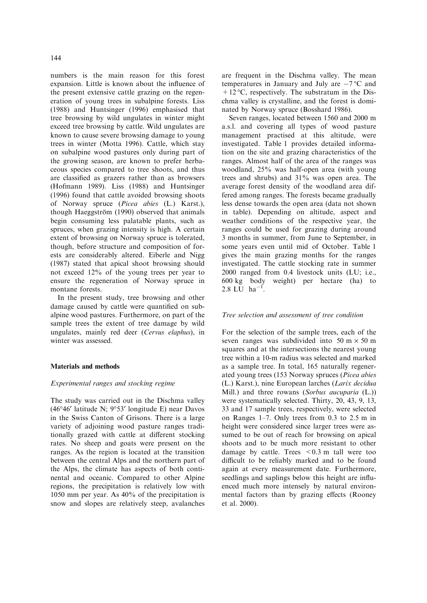numbers is the main reason for this forest expansion. Little is known about the influence of the present extensive cattle grazing on the regeneration of young trees in subalpine forests. Liss (1988) and Huntsinger (1996) emphasised that tree browsing by wild ungulates in winter might exceed tree browsing by cattle. Wild ungulates are known to cause severe browsing damage to young trees in winter (Motta 1996). Cattle, which stay on subalpine wood pastures only during part of the growing season, are known to prefer herbaceous species compared to tree shoots, and thus are classified as grazers rather than as browsers (Hofmann 1989). Liss (1988) and Huntsinger (1996) found that cattle avoided browsing shoots of Norway spruce (Picea abies (L.) Karst.), though Haeggström (1990) observed that animals begin consuming less palatable plants, such as spruces, when grazing intensity is high. A certain extent of browsing on Norway spruce is tolerated, though, before structure and composition of forests are considerably altered. Eiberle and Nigg (1987) stated that apical shoot browsing should not exceed 12% of the young trees per year to ensure the regeneration of Norway spruce in montane forests.

In the present study, tree browsing and other damage caused by cattle were quantified on subalpine wood pastures. Furthermore, on part of the sample trees the extent of tree damage by wild ungulates, mainly red deer (Cervus elaphus), in winter was assessed.

# Materials and methods

#### Experimental ranges and stocking regime

The study was carried out in the Dischma valley (46°46' latitude N; 9°53' longitude E) near Davos in the Swiss Canton of Grisons. There is a large variety of adjoining wood pasture ranges traditionally grazed with cattle at different stocking rates. No sheep and goats were present on the ranges. As the region is located at the transition between the central Alps and the northern part of the Alps, the climate has aspects of both continental and oceanic. Compared to other Alpine regions, the precipitation is relatively low with 1050 mm per year. As 40% of the precipitation is snow and slopes are relatively steep, avalanches

are frequent in the Dischma valley. The mean temperatures in January and July are  $-7^{\circ}$ C and  $+12$  °C, respectively. The substratum in the Dischma valley is crystalline, and the forest is dominated by Norway spruce (Bosshard 1986).

Seven ranges, located between 1560 and 2000 m a.s.l. and covering all types of wood pasture management practised at this altitude, were investigated. Table 1 provides detailed information on the site and grazing characteristics of the ranges. Almost half of the area of the ranges was woodland, 25% was half-open area (with young trees and shrubs) and 31% was open area. The average forest density of the woodland area differed among ranges. The forests became gradually less dense towards the open area (data not shown in table). Depending on altitude, aspect and weather conditions of the respective year, the ranges could be used for grazing during around 3 months in summer, from June to September, in some years even until mid of October. Table 1 gives the main grazing months for the ranges investigated. The cattle stocking rate in summer 2000 ranged from 0.4 livestock units (LU; i.e., 600 kg body weight) per hectare (ha) to 2.8 LU  $ha^{-1}$ .

#### Tree selection and assessment of tree condition

For the selection of the sample trees, each of the seven ranges was subdivided into  $50 \text{ m} \times 50 \text{ m}$ squares and at the intersections the nearest young tree within a 10-m radius was selected and marked as a sample tree. In total, 165 naturally regenerated young trees (153 Norway spruces (Picea abies (L.) Karst.), nine European larches (Larix decidua Mill.) and three rowans (Sorbus aucuparia (L.)) were systematically selected. Thirty, 20, 43, 9, 13, 33 and 17 sample trees, respectively, were selected on Ranges 1–7. Only trees from 0.3 to 2.5 m in height were considered since larger trees were assumed to be out of reach for browsing on apical shoots and to be much more resistant to other damage by cattle. Trees  $\leq 0.3$  m tall were too difficult to be reliably marked and to be found again at every measurement date. Furthermore, seedlings and saplings below this height are influenced much more intensely by natural environmental factors than by grazing effects (Rooney et al. 2000).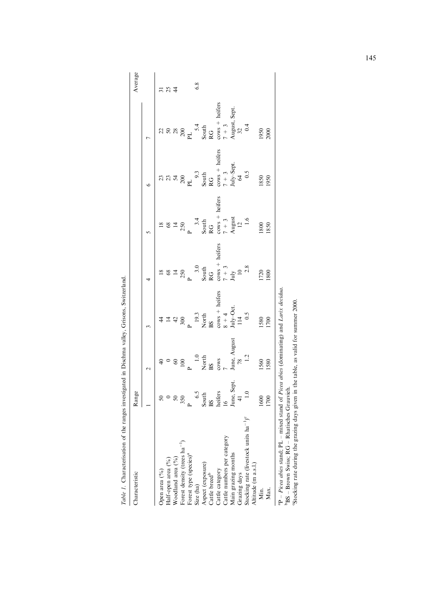| Characteristic                                                                                                          | Range          |                                 |                                                                  |                                               |                                                                                      |                                               |                                                             | Average       |
|-------------------------------------------------------------------------------------------------------------------------|----------------|---------------------------------|------------------------------------------------------------------|-----------------------------------------------|--------------------------------------------------------------------------------------|-----------------------------------------------|-------------------------------------------------------------|---------------|
|                                                                                                                         |                | $\mathbf{\sim}$                 |                                                                  | 4                                             | 5                                                                                    | $\circ$                                       |                                                             |               |
| Open area (%)                                                                                                           |                |                                 | $\frac{4}{3}$                                                    |                                               |                                                                                      |                                               |                                                             |               |
| Half-open area (%)                                                                                                      |                |                                 | $\overline{1}$                                                   |                                               | $8^{\circ}$                                                                          | <b>និង</b> ខ្លួ                               | ล ด ล ล<br>ล                                                |               |
| Woodland area (%)                                                                                                       | $\mathcal{S}$  |                                 |                                                                  | $\overline{1}$                                | $\overline{1}$                                                                       |                                               |                                                             | 25            |
| Forest density (trees ha <sup>-1</sup> )                                                                                | 350            | 100                             | 300                                                              | 250                                           | 250                                                                                  |                                               |                                                             |               |
| Forest type (species) <sup>a</sup>                                                                                      |                |                                 |                                                                  |                                               |                                                                                      | $\overline{P}$                                | $\overline{B}$                                              |               |
| Size (ha)                                                                                                               | 6.5            |                                 |                                                                  | 3.0                                           |                                                                                      | 9.3                                           |                                                             | $\frac{8}{6}$ |
| Aspect (exposure)                                                                                                       | South          |                                 |                                                                  |                                               |                                                                                      |                                               |                                                             |               |
| Cattle breed <sup>b</sup>                                                                                               | $_{\rm BS}$    | $$\frac{1.0}{\text{North}}$$ BS | $\begin{array}{c} 19.3 \\ \text{North} \\ \text{BS} \end{array}$ | $_{\rm RG}^{\rm South}$                       | 3.4<br>South<br>RG<br>$R$ O $\alpha$ + heifers<br>$\gamma$ + 3<br>August<br>$\alpha$ | $_{\rm RG}^{\rm south}$                       | 5.4<br>South<br>RG                                          |               |
| Cattle category                                                                                                         | heifers        | $\frac{1}{7}$                   | $cows + heliers$                                                 |                                               |                                                                                      |                                               |                                                             |               |
| Cattle numbers per category                                                                                             | $\circ$        |                                 |                                                                  |                                               |                                                                                      |                                               |                                                             |               |
| Main grazing months                                                                                                     | June, Sept.    |                                 | $8 + 4$<br>July–Oct.<br>114                                      | $\frac{3}{7+3}$ heifers<br>$\frac{7+3}{101y}$ |                                                                                      | $\cos$ + heifers<br>7 + 3<br>July–Sept.<br>64 | cows + heifers<br>$7 + 3$<br>August, Sept.<br>$32$<br>$0.4$ |               |
| Grazing days                                                                                                            | $\frac{4}{1}$  | June, August<br>78<br>1.2       |                                                                  | $\overline{10}$                               |                                                                                      |                                               |                                                             |               |
| Stocking rate (livestock units ha <sup>-1</sup> ) <sup>c</sup><br>Altitude (m a.s.l.)                                   | $\overline{0}$ |                                 | 0.5                                                              | 2.8                                           | 1.6                                                                                  | $\sim 0$                                      |                                                             |               |
| Min.                                                                                                                    | 1600           | 1560                            | 1580                                                             | <b>I720</b>                                   | 1800                                                                                 | 1850                                          |                                                             |               |
| Max.                                                                                                                    | 1700           | 1580                            | $1700$                                                           | 1800                                          | 1850                                                                                 | 1950                                          | 1950<br>2000                                                |               |
| <sup>a</sup> P – <i>Picea abies</i> stand; PL – mixed stand of <i>Picea abies</i> (dominating) and <i>Larix decidua</i> |                |                                 |                                                                  |                                               |                                                                                      |                                               |                                                             |               |

Table 1. Characterisation of the ranges investigated in Dischma valley, Grisons, Switzerland. Table 1. Characterisation of the ranges investigated in Dischma valley, Grisons, Switzerland.

bBS – Brown Swiss; RG – Rhatisches Grauvieh.

b<br>BS – Brown Swiss; RG – Rhatisches Grauvieh.<br>Stocking rate during the grazing days given in the table, as valid for summer 2000. cStocking rate during the grazing days given in the table, as valid for summer 2000.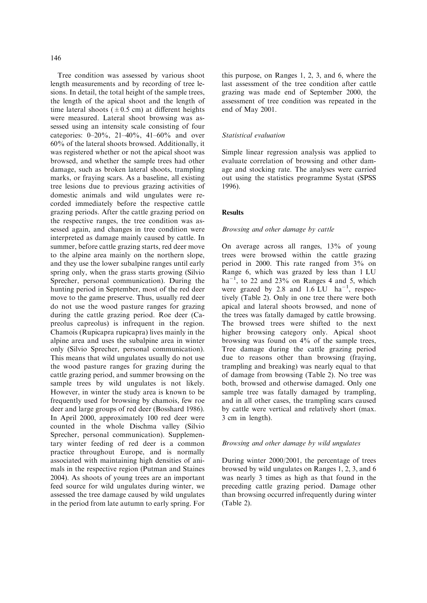Tree condition was assessed by various shoot length measurements and by recording of tree lesions. In detail, the total height of the sample trees, the length of the apical shoot and the length of time lateral shoots ( $\pm$ 0.5 cm) at different heights were measured. Lateral shoot browsing was assessed using an intensity scale consisting of four categories: 0–20%, 21–40%, 41–60% and over 60% of the lateral shoots browsed. Additionally, it was registered whether or not the apical shoot was browsed, and whether the sample trees had other damage, such as broken lateral shoots, trampling marks, or fraying scars. As a baseline, all existing tree lesions due to previous grazing activities of domestic animals and wild ungulates were recorded immediately before the respective cattle grazing periods. After the cattle grazing period on the respective ranges, the tree condition was assessed again, and changes in tree condition were interpreted as damage mainly caused by cattle. In summer, before cattle grazing starts, red deer move to the alpine area mainly on the northern slope, and they use the lower subalpine ranges until early spring only, when the grass starts growing (Silvio Sprecher, personal communication). During the hunting period in September, most of the red deer move to the game preserve. Thus, usually red deer do not use the wood pasture ranges for grazing during the cattle grazing period. Roe deer (Capreolus capreolus) is infrequent in the region. Chamois (Rupicapra rupicapra) lives mainly in the alpine area and uses the subalpine area in winter only (Silvio Sprecher, personal communication). This means that wild ungulates usually do not use the wood pasture ranges for grazing during the cattle grazing period, and summer browsing on the sample trees by wild ungulates is not likely. However, in winter the study area is known to be frequently used for browsing by chamois, few roe deer and large groups of red deer (Bosshard 1986). In April 2000, approximately 100 red deer were counted in the whole Dischma valley (Silvio Sprecher, personal communication). Supplementary winter feeding of red deer is a common practice throughout Europe, and is normally associated with maintaining high densities of animals in the respective region (Putman and Staines 2004). As shoots of young trees are an important feed source for wild ungulates during winter, we assessed the tree damage caused by wild ungulates in the period from late autumn to early spring. For

this purpose, on Ranges 1, 2, 3, and 6, where the last assessment of the tree condition after cattle grazing was made end of September 2000, the assessment of tree condition was repeated in the end of May 2001.

# Statistical evaluation

Simple linear regression analysis was applied to evaluate correlation of browsing and other damage and stocking rate. The analyses were carried out using the statistics programme Systat (SPSS 1996).

#### **Results**

#### Browsing and other damage by cattle

On average across all ranges, 13% of young trees were browsed within the cattle grazing period in 2000. This rate ranged from 3% on Range 6, which was grazed by less than 1 LU  $ha^{-1}$ , to 22 and 23% on Ranges 4 and 5, which were grazed by 2.8 and 1.6 LU  $ha^{-1}$ , respectively (Table 2). Only in one tree there were both apical and lateral shoots browsed, and none of the trees was fatally damaged by cattle browsing. The browsed trees were shifted to the next higher browsing category only. Apical shoot browsing was found on 4% of the sample trees, Tree damage during the cattle grazing period due to reasons other than browsing (fraying, trampling and breaking) was nearly equal to that of damage from browsing (Table 2). No tree was both, browsed and otherwise damaged. Only one sample tree was fatally damaged by trampling, and in all other cases, the trampling scars caused by cattle were vertical and relatively short (max. 3 cm in length).

# Browsing and other damage by wild ungulates

During winter 2000/2001, the percentage of trees browsed by wild ungulates on Ranges 1, 2, 3, and 6 was nearly 3 times as high as that found in the preceding cattle grazing period. Damage other than browsing occurred infrequently during winter (Table 2).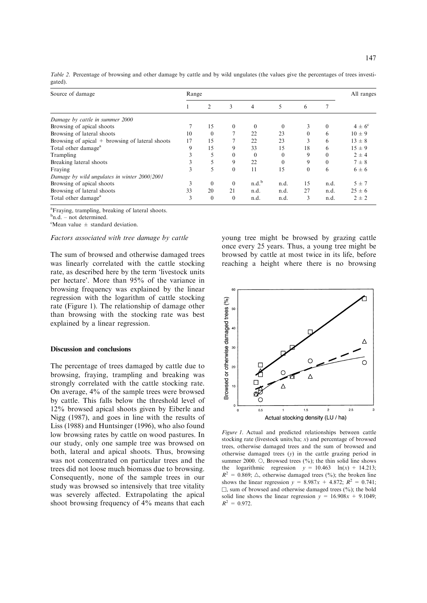| Source of damage                                  | Range |                |                |                   |      |          |          | All ranges        |
|---------------------------------------------------|-------|----------------|----------------|-------------------|------|----------|----------|-------------------|
|                                                   |       | $\overline{2}$ | 3              | $\overline{4}$    | 5    | 6        | 7        |                   |
| Damage by cattle in summer 2000                   |       |                |                |                   |      |          |          |                   |
| Browsing of apical shoots                         | 7     | 15             | $\overline{0}$ | $\theta$          | 0    | 3        | $\theta$ | $4 \pm 6^{\circ}$ |
| Browsing of lateral shoots                        | 10    | $\Omega$       | 7              | 22                | 23   | $\theta$ | 6        | $10 \pm 9$        |
| Browsing of apical $+$ browsing of lateral shoots | 17    | 15             |                | 22                | 23   | 3        | 6        | $13 \pm 8$        |
| Total other damage <sup>a</sup>                   | 9     | 15             | 9              | 33                | 15   | 18       | 6        | $15 \pm 9$        |
| Trampling                                         | 3     |                | $\overline{0}$ | $\Omega$          | 0    | 9        | $\theta$ | $2 \pm 4$         |
| Breaking lateral shoots                           | 3     | 5              | 9              | 22                | 0    | 9        | $\theta$ | $7 \pm 8$         |
| Fraying                                           | 3     | 5              | $\overline{0}$ | 11                | 15   | $\theta$ | 6        | $6 \pm 6$         |
| Damage by wild ungulates in winter 2000/2001      |       |                |                |                   |      |          |          |                   |
| Browsing of apical shoots                         | 3     | $\mathbf{0}$   | $\overline{0}$ | n.d. <sup>b</sup> | n.d. | 15       | n.d.     | $5 \pm 7$         |
| Browsing of lateral shoots                        | 33    | 20             | 21             | n.d.              | n.d. | 27       | n.d.     | $25 \pm 6$        |
| Total other damage <sup>a</sup>                   | 3     | $\theta$       | $\mathbf{0}$   | n.d.              | n.d. | 3        | n.d.     | $2 \pm 2$         |

Table 2. Percentage of browsing and other damage by cattle and by wild ungulates (the values give the percentages of trees investigated).

<sup>a</sup>Fraying, trampling, breaking of lateral shoots.

b n.d. – not determined.

 ${}^{\text{c}}$ Mean value  $\pm$  standard deviation.

# Factors associated with tree damage by cattle

The sum of browsed and otherwise damaged trees was linearly correlated with the cattle stocking rate, as described here by the term 'livestock units per hectare'. More than 95% of the variance in browsing frequency was explained by the linear regression with the logarithm of cattle stocking rate (Figure 1). The relationship of damage other than browsing with the stocking rate was best explained by a linear regression.

#### Discussion and conclusions

The percentage of trees damaged by cattle due to browsing, fraying, trampling and breaking was strongly correlated with the cattle stocking rate. On average, 4% of the sample trees were browsed by cattle. This falls below the threshold level of 12% browsed apical shoots given by Eiberle and Nigg (1987), and goes in line with the results of Liss (1988) and Huntsinger (1996), who also found low browsing rates by cattle on wood pastures. In our study, only one sample tree was browsed on both, lateral and apical shoots. Thus, browsing was not concentrated on particular trees and the trees did not loose much biomass due to browsing. Consequently, none of the sample trees in our study was browsed so intensively that tree vitality was severely affected. Extrapolating the apical shoot browsing frequency of 4% means that each

young tree might be browsed by grazing cattle once every 25 years. Thus, a young tree might be browsed by cattle at most twice in its life, before reaching a height where there is no browsing



Figure 1. Actual and predicted relationships between cattle stocking rate (livestock units/ha;  $x$ ) and percentage of browsed trees, otherwise damaged trees and the sum of browsed and otherwise damaged trees  $(y)$  in the cattle grazing period in summer 2000.  $\circ$ , Browsed trees (%); the thin solid line shows the logarithmic regression  $y = 10.463 \ln(x) + 14.213$ ;  $R^2 = 0.869$ ;  $\triangle$ , otherwise damaged trees (%); the broken line shows the linear regression  $y = 8.987x + 4.872$ ;  $R^2 = 0.741$ ;  $\Box$ , sum of browsed and otherwise damaged trees (%); the bold solid line shows the linear regression  $y = 16.908x + 9.1049$ ;  $R^2 = 0.972$ .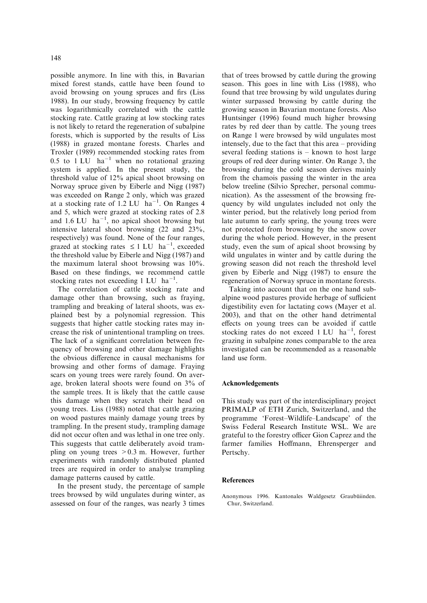possible anymore. In line with this, in Bavarian mixed forest stands, cattle have been found to avoid browsing on young spruces and firs (Liss 1988). In our study, browsing frequency by cattle was logarithmically correlated with the cattle stocking rate. Cattle grazing at low stocking rates is not likely to retard the regeneration of subalpine forests, which is supported by the results of Liss (1988) in grazed montane forests. Charles and Troxler (1989) recommended stocking rates from 0.5 to  $1$  LU ha<sup>-1</sup> when no rotational grazing system is applied. In the present study, the threshold value of 12% apical shoot browsing on Norway spruce given by Eiberle and Nigg (1987) was exceeded on Range 2 only, which was grazed at a stocking rate of  $1.2$  LU ha<sup>-1</sup>. On Ranges 4 and 5, which were grazed at stocking rates of 2.8 and 1.6 LU  $\text{ ha}^{-1}$ , no apical shoot browsing but intensive lateral shoot browsing (22 and 23%, respectively) was found. None of the four ranges, grazed at stocking rates  $\leq 1$  LU ha<sup>-1</sup>, exceeded the threshold value by Eiberle and Nigg (1987) and the maximum lateral shoot browsing was 10%. Based on these findings, we recommend cattle stocking rates not exceeding  $1 \text{ LU } \text{ha}^{-1}$ .

The correlation of cattle stocking rate and damage other than browsing, such as fraying, trampling and breaking of lateral shoots, was explained best by a polynomial regression. This suggests that higher cattle stocking rates may increase the risk of unintentional trampling on trees. The lack of a significant correlation between frequency of browsing and other damage highlights the obvious difference in causal mechanisms for browsing and other forms of damage. Fraying scars on young trees were rarely found. On average, broken lateral shoots were found on 3% of the sample trees. It is likely that the cattle cause this damage when they scratch their head on young trees. Liss (1988) noted that cattle grazing on wood pastures mainly damage young trees by trampling. In the present study, trampling damage did not occur often and was lethal in one tree only. This suggests that cattle deliberately avoid trampling on young trees  $> 0.3$  m. However, further experiments with randomly distributed planted trees are required in order to analyse trampling damage patterns caused by cattle.

In the present study, the percentage of sample trees browsed by wild ungulates during winter, as assessed on four of the ranges, was nearly 3 times

that of trees browsed by cattle during the growing season. This goes in line with Liss (1988), who found that tree browsing by wild ungulates during winter surpassed browsing by cattle during the growing season in Bavarian montane forests. Also Huntsinger (1996) found much higher browsing rates by red deer than by cattle. The young trees on Range 1 were browsed by wild ungulates most intensely, due to the fact that this area – providing several feeding stations is – known to host large groups of red deer during winter. On Range 3, the browsing during the cold season derives mainly from the chamois passing the winter in the area below treeline (Silvio Sprecher, personal communication). As the assessment of the browsing frequency by wild ungulates included not only the winter period, but the relatively long period from late autumn to early spring, the young trees were not protected from browsing by the snow cover during the whole period. However, in the present study, even the sum of apical shoot browsing by wild ungulates in winter and by cattle during the growing season did not reach the threshold level given by Eiberle and Nigg (1987) to ensure the regeneration of Norway spruce in montane forests.

Taking into account that on the one hand subalpine wood pastures provide herbage of sufficient digestibility even for lactating cows (Mayer et al. 2003), and that on the other hand detrimental effects on young trees can be avoided if cattle stocking rates do not exceed  $1 \text{ LU } \text{ ha}^{-1}$ , forest grazing in subalpine zones comparable to the area investigated can be recommended as a reasonable land use form.

## Acknowledgements

This study was part of the interdisciplinary project PRIMALP of ETH Zurich, Switzerland, and the programme 'Forest–Wildlife–Landscape' of the Swiss Federal Research Institute WSL. We are grateful to the forestry officer Gion Caprez and the farmer families Hoffmann, Ehrensperger and Pertschy.

#### **References**

Anonymous 1996. Kantonales Waldgesetz Graubüünden. Chur, Switzerland.